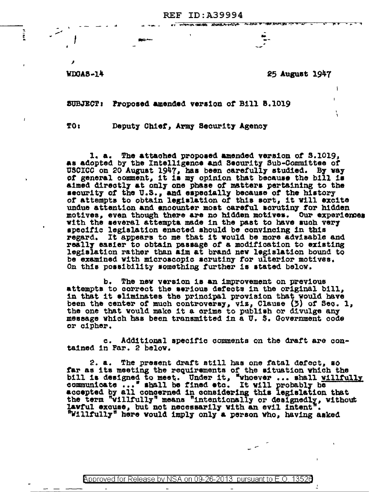**REF ID: A39994** 

のことをするのです。 あいまです かんじゅう インセス あったまい あままか こう

 $VDGAB - 14$ 

Ē

25 August 1947

 $\overline{\phantom{a}}$ 

SUBJECT: Proposed amended version of Bill 8.1019

TO 1

Deputy Chief, Army Security Agency

1. a. The attached proposed amended version of  $S.1019$ , as adopted by the Intelligence and Security Sub-Committee of USCICC on 20 August 1947, has been carefully studied. By vay of general comment, it is my opinion that because the bill is aimed directly at only one phase of matters pertaining to the security of the U.S., and especially because of the history of attempts to obtain legislation of this sort, it will excite undue attention and encounter most careful acrutiny for hidden motives, even though there are no hidden motives. Our experiences with the several attempts made in the past to have such very specific legislation enacted should be convincing in this It appears to me that it would be more advisable and regard. really easier to obtain passage of a modification to existing legislation rather than aim at brand new legislation bound to be examined with microscopic scrutiny for ulterior motives. On this possibility something further is stated below.

b. The new version is an improvement on previous attempts to correct the serious defects in the original bill, in that it eliminates the principal provision that would have been the center of much controversy, viz, Clause (5) of Sec. 1, the one that would make it a crime to publish or divulge any message which has been transmitted in a U. S. Government code or cipher.

Additional specific comments on the draft are conc. tained in Par. 2 below.

2. a. The present draft still has one fatal defect, so far as its meeting the requirements of the situation which the bill is designed to meet. Under it, "whoever ... shall willfully communicate ... "shall be fined etc. It will probably be accepted by all congerned in considering this legislation that the term "villfully" means "intentionally or designedly, without lawful excuse, but not necessarily with an evil intent". "Willfully" here would imply only a person who, having asked

**Approved for Release by NSA on 09-26-2013 pursuant to E.O.**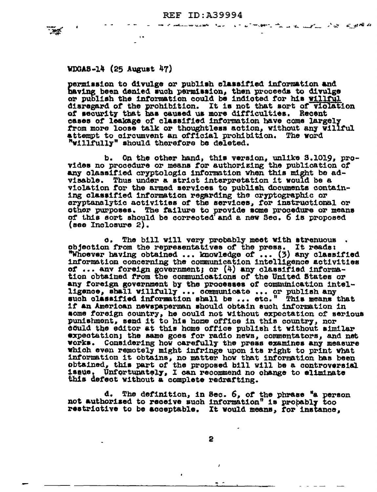ட்டையான போட்டி பாட்டுள்ளது கொட்டி பெய்யிட்டு விருந்து விருந்தில் பிருந்திய பாட்டி பெய்யிட்டுள்ளது. இந்த விருந்



permission to divulge or publish classified information and having been denied such permission, then proceeds to divulge or publish the information could be indicted for his willful disregard of the prohibition. It is not that sort of violation of security that has caused us more difficulties. Recent cases of leakage of classified information have come largely from more loose talk or thoughtless action, without any willful attempt to circumvent an official prohibition. The word "willfully" should therefore be deleted.

On the other hand, this version, unlike S.1019, prob. vides no procedure or means for authorizing the publication of any classified cryptologic information when this might be advisable. Thus under a strict interpretation it would be a violation for the armed services to publish documents containing classified information regarding the cryptographic or cryptanalytic activities of the services, for instructional or other purposes. The failure to provide some procedure or means of this sort should be corrected and a new Sec. 6 is proposed  $(see Inclosure 2).$ 

The bill will very probably meet with strenuous.  $\mathbf{o}$ . objection from the representatives of the press. It reads:<br>"Whoever having obtained ... knowledge of ... (3) any classified information concerning the communication intelligence activities of ... anv foreign government; or (4) any classified information obtained from the communications of the United States or any foreign government by the processes of communication intelligence, shall willfully ... communicate ... or publish any such classified information shall be ... etc." This means that if an American newspaperman should obtain such information in some foreign country, he could not without expectation of serious punishment, send it to his home office in this country, nor could the editor at this home office publish it without similar expectation; the same goes for radio news, commentators, and net works. Considering how carefully the press examines any measure which even remotely might infringe upon its right to print what information it obtains, no matter how that information has been obtained, this part of the proposed bill will be a controversial Unfortunately, I can recommend no change to eliminate 1saue. this defect without a complete redrafting.

d. The definition, in Sec. 6, of the phrase "a person not authorised to receive such information" is probably too restrictive to be acceptable. It would means, for instance.

 $\mathbf{r}$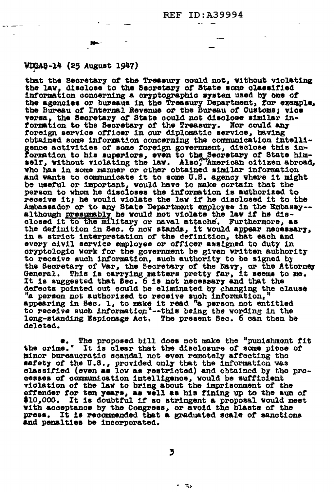## WDGA8-14 (25 August 1947)

that the Secretary of the Treasury could not. without violating the law, disclose to the Secretary of State some classified information concerning a cryptographic system used by one of the agencies or bureaus in the Treasury Department, for example, the Bureau of Internal Revenue or the Bureau of Customs; vice versa, the Secretary of State could not disclose similar in-<br>formation to the Secretary of the Treasury. Nor could any foreign service officer in our diplomatic service, having obtained some information concerning the communication intelligence activities of some foreign government, disclose this in-<br>formation to his superiors, even to the Secretary of State him-<br>self, without violating the law. Also, American citizen abroad, who has in some manner or other obtained similar information and wants to communicate it to some U.S. agency where it might be useful or important, would have to make cortain that the person to whom he discloses the information is authorized to receive it; he would violate the law if he disclosed it to the Ambassador or to any State Department employee in the Embassy-although presumably he would not violate the law if he dis-<br>closed it to the military or naval attache. Furthermore, as the definition in Sec. 6 now stands, it would appear necessary, in a strict interpretation of the definition, that each and every civil service employee or officer assigned to duty in oryptologic work for the government be given written authority<br>to receive such information, such authority to be signed by<br>the Secretary of War, the Secretary of the Navy, or the Attorney<br>General. This is carrying matters It is suggested that Sec. 6 is not necessary and that the defects pointed out could be eliminated by changing the clause "a person not authorized to receive such information. appearing in Sec. 1, to make it read "a person not entitled to receive such information"--this being the wording in the long-standing Espionage Act. The present Sec. 6 can then be deleted.

The proposed bill does not make the "punishment fit .. the orime." It is clear that the disclosure of some piece of minor bureaucratic scandal not even remotely affecting the safety of the U.S., provided only that the information was classified (even as low as restricted) and obtained by the processes of communication intelligence, would be sufficient violation of the law to bring about the imprisonment of the offender for ten years, as well as his fining up to the sum of \$10,000. It is doubtful if so stringent a proposal would meet with acceptance by the Congress, or avoid the blasts of the press. It is recommended that a graduated scale of sanctions and penalties be incorporated.

3

大き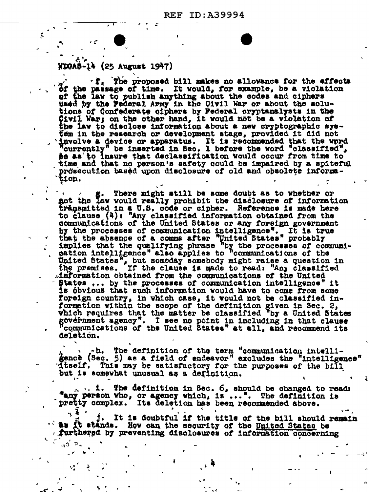## WDGAS-14 (25 August 1947)

 $\sim$  $\mathcal{L}_1$  .

 $x^*$ , The proposed bill makes no allowance for the effects of the passage of time. It would, for example, be a violation of the law to publish anything about the codes and ciphers used by the Federal Army in the Civil War or about the solutions of Confederate ciphers by Federal cryptanalysts in the Civil War; on the other hand, it would not be a violation of the law to disclose information about a new cryptographic system in the research or development stage, provided it did not involve a device or apparatus. It is recommended that the word "currently" be inserted in Sec. 1 before the word "classified", **so as to insure that declassification Would occur from time to** time and that no person's safety could be impaired by a spiteful prosecution based upon disclosure of old and obsolete information.

There might still be some doubt as to whether or s a g. There might still be some doubt as to whether or and the law would really prohibit the disclosure of information transmitted in a U.S. code or cipher. Reference is made here to clause  $(4)$ : "Any classified information obtained from the communications of the United States or any foreign government by the processes of communication intelligence". It is true<br>that the absence of a comma after "United States" probably<br>implies that the qualifying phrase "by the processes of communi-<br>cation intelligence" also applies to " United States", but someday somebody might raise a question in the premises. If the clause is made to read: "Any classified information obtained from the communications of the United States ... by the processes of communication intelligence" it is obvious that such information would have to come from some foreign country, in which case, it would not be classified information within the scope of the definition given in Sec. 2, which requires that the matter be classified "by a United States" government agency". I see no point in including in that clause "communications of the United States" at all, and recommend its deletion.

the definition of the term "communication intelli-<br>gence (Sec. 5) as a field of endeavor" excludes the "intelligence" diself, This may be satisfactory for the purposes of the bill but is somewhat unusual as a definition.

2

... i. The definition in Sec. 6, should be changed to read: "any person vho, or agency which, is...". The definition is pretty complex. Its deletion has been recommended above.

It is doubtful if the title of the bill should remain 1. the it stands. How can the security of the United States be furthered by preventing disclosures of information concerning